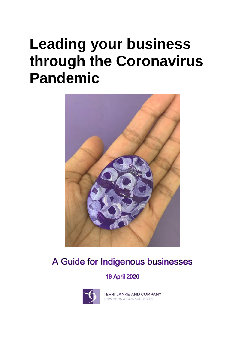# **Leading your business through the Coronavirus Pandemic**



# A Guide for Indigenous businesses

# **16 April 2020**



**TERRI JANKE AND COMPANY LAWYERS & CONSULTANTS**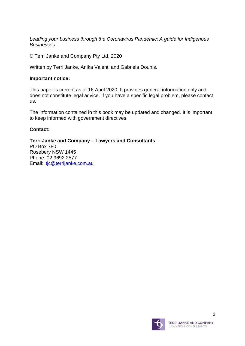*Leading your business through the Coronavirus Pandemic: A guide for Indigenous Businesses*

© Terri Janke and Company Pty Ltd, 2020

Written by Terri Janke, Anika Valenti and Gabriela Dounis.

#### **Important notice:**

This paper is current as of 16 April 2020. It provides general information only and does not constitute legal advice. If you have a specific legal problem, please contact us.

The information contained in this book may be updated and changed. It is important to keep informed with government directives.

#### **Contact:**

**Terri Janke and Company – Lawyers and Consultants** PO Box 780 Rosebery NSW 1445 Phone: 02 9692 2577 Email: [tjc@terrijanke.com.au](mailto:tjc@terrijanke.com.au)

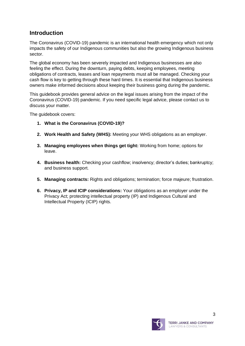### <span id="page-2-0"></span>**Introduction**

The Coronavirus (COVID-19) pandemic is an international health emergency which not only impacts the safety of our Indigenous communities but also the growing Indigenous business sector.

The global economy has been severely impacted and Indigenous businesses are also feeling the effect. During the downturn, paying debts, keeping employees, meeting obligations of contracts, leases and loan repayments must all be managed. Checking your cash flow is key to getting through these hard times. It is essential that Indigenous business owners make informed decisions about keeping their business going during the pandemic.

This guidebook provides general advice on the legal issues arising from the impact of the Coronavirus (COVID-19) pandemic. If you need specific legal advice, please contact us to discuss your matter.

The guidebook covers:

- **1. What is the Coronavirus (COVID-19)?**
- **2. Work Health and Safety (WHS):** Meeting your WHS obligations as an employer.
- **3. Managing employees when things get tight:** Working from home; options for leave.
- **4. Business health:** Checking your cashflow; insolvency; director's duties; bankruptcy; and business support.
- **5. Managing contracts:** Rights and obligations; termination; force majeure; frustration.
- **6. Privacy, IP and ICIP considerations:** Your obligations as an employer under the Privacy Act; protecting intellectual property (IP) and Indigenous Cultural and Intellectual Property (ICIP) rights.

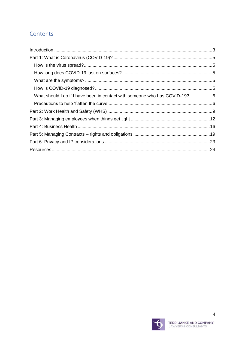# Contents

| What should I do if I have been in contact with someone who has COVID-19? 6 |  |
|-----------------------------------------------------------------------------|--|
|                                                                             |  |
|                                                                             |  |
|                                                                             |  |
|                                                                             |  |
|                                                                             |  |
|                                                                             |  |
|                                                                             |  |

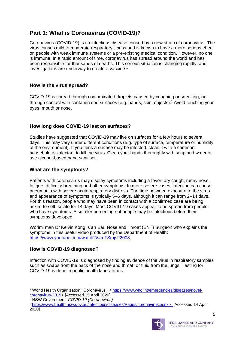# <span id="page-4-0"></span>**Part 1: What is Coronavirus (COVID-19)?**

Coronavirus (COVID-19) is an infectious disease caused by a new strain of coronavirus. The virus causes mild to moderate respiratory illness and is known to have a more serious effect on people with weak immune systems or a pre-existing medical condition. However, no one is immune. In a rapid amount of time, coronavirus has spread around the world and has been responsible for thousands of deaths. This serious situation is changing rapidly, and investigations are underway to create a vaccine. 1

#### <span id="page-4-1"></span>**How is the virus spread?**

COVID-19 is spread through contaminated droplets caused by coughing or sneezing, or through contact with contaminated surfaces (e.g. hands, skin, objects). <sup>2</sup> Avoid touching your eyes, mouth or nose.

#### <span id="page-4-2"></span>**How long does COVID-19 last on surfaces?**

Studies have suggested that COVID-19 may live on surfaces for a few hours to several days. This may vary under different conditions (e.g. type of surface, temperature or humidity of the environment). If you think a surface may be infected, clean it with a common household disinfectant to kill the virus. Clean your hands thoroughly with soap and water or use alcohol-based hand sanitiser.

#### <span id="page-4-3"></span>**What are the symptoms?**

Patients with coronavirus may display symptoms including a fever, dry cough, runny nose, fatigue, difficulty breathing and other symptoms. In more severe cases, infection can cause pneumonia with severe acute respiratory distress. The time between exposure to the virus and appearance of symptoms is typically 5–6 days, although it can range from 2–14 days. For this reason, people who may have been in contact with a confirmed case are being asked to self-isolate for 14 days. Most COVID-19 cases appear to be spread from people who have symptoms. A smaller percentage of people may be infectious before their symptoms developed.

Worimi man Dr Kelvin Kong is an Ear, Nose and Throat (ENT) Surgeon who explains the symptoms in this useful video produced by the Department of Health: [https://www.youtube.com/watch?v=mTSmjs22008.](https://www.youtube.com/watch?v=mTSmjs22008)

#### <span id="page-4-4"></span>**How is COVID-19 diagnosed?**

Infection with COVID-19 is diagnosed by finding evidence of the virus in respiratory samples such as swabs from the back of the nose and throat, or fluid from the lungs. Testing for COVID-19 is done in public health laboratories.

<sup>2</sup> NSW Government, *COVID-10 (Coronavirus)*

[<sup>&</sup>lt;https://www.health.nsw.gov.au/Infectious/diseases/Pages/coronavirus.aspx>](https://www.health.nsw.gov.au/Infectious/diseases/Pages/coronavirus.aspx) [Accessed 14 April 2020]



<sup>&</sup>lt;sup>1</sup> World Health Organization, 'Coronavirus', < [https://www.who.int/emergencies/diseases/novel](https://www.who.int/emergencies/diseases/novel-coronavirus-2019)[coronavirus-2019>](https://www.who.int/emergencies/diseases/novel-coronavirus-2019) [Accessed 15 April 2020]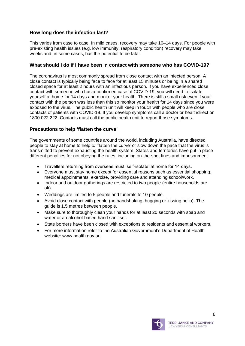#### **How long does the infection last?**

This varies from case to case. In mild cases, recovery may take 10–14 days. For people with pre-existing health issues (e.g. low immunity, respiratory condition) recovery may take weeks and, in some cases, has the potential to be fatal.

#### <span id="page-5-0"></span>**What should I do if I have been in contact with someone who has COVID-19?**

The coronavirus is most commonly spread from close contact with an infected person. A close contact is typically being face to face for at least 15 minutes or being in a shared closed space for at least 2 hours with an infectious person. If you have experienced close contact with someone who has a confirmed case of COVID-19, you will need to isolate yourself at home for 14 days and monitor your health. There is still a small risk even if your contact with the person was less than this so monitor your health for 14 days since you were exposed to the virus. The public health unit will keep in touch with people who are close contacts of patients with COVID-19. If you develop symptoms call a doctor or healthdirect on 1800 022 222. Contacts must call the public health unit to report those symptoms.

#### <span id="page-5-1"></span>**Precautions to help 'flatten the curve'**

The governments of some countries around the world, including Australia, have directed people to stay at home to help to 'flatten the curve' or slow down the pace that the virus is transmitted to prevent exhausting the health system. States and territories have put in place different penalties for not obeying the rules, including on-the-spot fines and imprisonment.

- Travellers returning from overseas must 'self-isolate' at home for 14 days.
- Everyone must stay home except for essential reasons such as essential shopping, medical appointments, exercise, providing care and attending school/work.
- Indoor and outdoor gatherings are restricted to two people (entire households are ok).
- Weddings are limited to 5 people and funerals to 10 people.
- Avoid close contact with people (no handshaking, hugging or kissing hello). The guide is 1.5 metres between people.
- Make sure to thoroughly clean your hands for at least 20 seconds with soap and water or an alcohol-based hand sanitiser.
- State borders have been closed with exceptions to residents and essential workers.
- For more information refer to the Australian Government's Department of Health website: [www.health.gov.au](http://www.health.gov.au/)

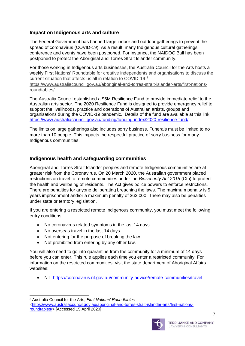#### **Impact on Indigenous arts and culture**

The Federal Government has banned large indoor and outdoor gatherings to prevent the spread of coronavirus (COVID-19). As a result, many Indigenous cultural gatherings, conference and events have been postponed. For instance, the NAIDOC Ball has been postponed to protect the Aboriginal and Torres Strait Islander community.

For those working in Indigenous arts businesses, the Australia Council for the Arts hosts a weekly First Nations' Roundtable for creative independents and organisations to discuss the current situation that affects us all in relation to COVID-19:3

[https://www.australiacouncil.gov.au/aboriginal-and-torres-strait-islander-arts/first-nations](https://www.australiacouncil.gov.au/aboriginal-and-torres-strait-islander-arts/first-nations-roundtables/)[roundtables/.](https://www.australiacouncil.gov.au/aboriginal-and-torres-strait-islander-arts/first-nations-roundtables/)

The Australia Council established a \$5M Resilience Fund to provide immediate relief to the Australian arts sector. The 2020 Resilience Fund is designed to provide emergency relief to support the livelihoods, practice and operations of Australian artists, groups and organisations during the COVID-19 pandemic. Details of the fund are available at this link: [https://www.australiacouncil.gov.au/funding/funding-index/2020-resilience-fund/.](https://www.australiacouncil.gov.au/funding/funding-index/2020-resilience-fund/)

The limits on large gatherings also includes sorry business. Funerals must be limited to no more than 10 people. This impacts the respectful practice of sorry business for many Indigenous communities.

#### **Indigenous health and safeguarding communities**

Aboriginal and Torres Strait Islander peoples and remote Indigenous communities are at greater risk from the Coronavirus. On 20 March 2020, the Australian government placed restrictions on travel to remote communities under the *Biosecurity Act 2015* (Cth) to protect the health and wellbeing of residents. The Act gives police powers to enforce restrictions. There are penalties for anyone deliberating breaching the laws. The maximum penalty is 5 years imprisonment and/or a maximum penalty of \$63,000. There may also be penalties under state or territory legislation.

If you are entering a restricted remote Indigenous community, you must meet the following entry conditions:

- No coronavirus related symptoms in the last 14 days
- No overseas travel in the last 14 days
- Not entering for the purpose of breaking the law
- Not prohibited from entering by any other law.

You will also need to go into quarantine from the community for a minimum of 14 days before you can enter. This rule applies each time you enter a restricted community. For information on the restricted communities, visit the state department of Aboriginal Affairs websites:

• NT: <https://coronavirus.nt.gov.au/community-advice/remote-communities/travel>

<sup>3</sup> Australia Council for the Arts, *First Nations' Roundtables* [<https://www.australiacouncil.gov.au/aboriginal-and-torres-strait-islander-arts/first-nations](https://www.australiacouncil.gov.au/aboriginal-and-torres-strait-islander-arts/first-nations-roundtables/)[roundtables/>](https://www.australiacouncil.gov.au/aboriginal-and-torres-strait-islander-arts/first-nations-roundtables/) [Accessed 15 April 2020]

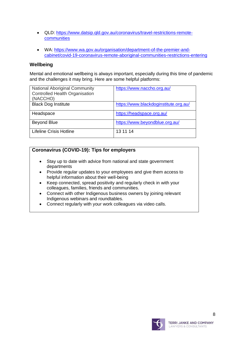- QLD: [https://www.datsip.qld.gov.au/coronavirus/travel-restrictions-remote](https://www.datsip.qld.gov.au/coronavirus/travel-restrictions-remote-communities)[communities](https://www.datsip.qld.gov.au/coronavirus/travel-restrictions-remote-communities)
- WA: [https://www.wa.gov.au/organisation/department-of-the-premier-and](https://www.wa.gov.au/organisation/department-of-the-premier-and-cabinet/covid-19-coronavirus-remote-aboriginal-communities-restrictions-entering)[cabinet/covid-19-coronavirus-remote-aboriginal-communities-restrictions-entering](https://www.wa.gov.au/organisation/department-of-the-premier-and-cabinet/covid-19-coronavirus-remote-aboriginal-communities-restrictions-entering)

#### **Wellbeing**

Mental and emotional wellbeing is always important, especially during this time of pandemic and the challenges it may bring. Here are some helpful platforms:

| <b>National Aboriginal Community</b><br>Controlled Health Organisation<br>(NACCHO) | https://www.naccho.org.au/            |
|------------------------------------------------------------------------------------|---------------------------------------|
| <b>Black Dog Institute</b>                                                         | https://www.blackdoginstitute.org.au/ |
| Headspace                                                                          | https://headspace.org.au/             |
| <b>Beyond Blue</b>                                                                 | https://www.beyondblue.org.au/        |
| <b>Lifeline Crisis Hotline</b>                                                     | 13 11 14                              |

#### **Coronavirus (COVID-19): Tips for employers**

- Stay up to date with advice from national and state government departments
- Provide regular updates to your employees and give them access to helpful information about their well-being
- Keep connected, spread positivity and regularly check in with your colleagues, families, friends and communities.
- Connect with other Indigenous business owners by joining relevant Indigenous webinars and roundtables.
- Connect regularly with your work colleagues via video calls.

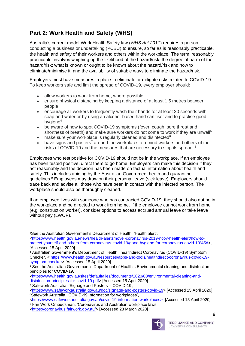# <span id="page-8-0"></span>**Part 2: Work Health and Safety (WHS)**

Australia's current model Work Health Safety law (*WHS Act 2011*) requires a person conducting a business or undertaking (PCBU) to ensure, so far as is reasonably practicable, the health and safety of their workers and others within the workplace. The term 'reasonably practicable' involves weighing up the likelihood of the hazard/risk; the degree of harm of the hazard/risk; what is known or ought to be known about the hazard/risk and how to eliminate/minimise it; and the availability of suitable ways to eliminate the hazard/risk.

Employers must have measures in place to eliminate or mitigate risks related to COVID-19. To keep workers safe and limit the spread of COVID-19, every employer should:

- allow workers to work from home, where possible
- ensure physical distancing by keeping a distance of at least 1.5 metres between people
- encourage all workers to frequently wash their hands for at least 20 seconds with soap and water or by using an alcohol-based hand sanitiser and to practise good hygiene<sup>4</sup>
- be aware of how to spot COVID-19 symptoms (fever, cough, sore throat and shortness of breath) and make sure workers do not come to work if they are unwell<sup>5</sup>
- make sure your workplace is regularly cleaned and disinfected<sup>6</sup>
- have signs and posters<sup>7</sup> around the workplace to remind workers and others of the risks of COVID-19 and the measures that are necessary to stop its spread. <sup>8</sup>

Employees who test positive for COVID-19 should not be in the workplace. If an employee has been tested positive, direct them to go home. Employers can make this decision if they act reasonably and the decision has been made on factual information about health and safety. This includes abiding by the Australian Government heath and quarantine guidelines.<sup>9</sup> Employees may draw on their personal leave (sick leave). Employers should trace back and advise all those who have been in contact with the infected person. The workplace should also be thoroughly cleaned.

If an employee lives with someone who has contracted COVID-19, they should also not be in the workplace and be directed to work from home. If the employee cannot work from home (e.g. construction worker), consider options to access accrued annual leave or take leave without pay (LWOP).

[<https://www.health.gov.au/news/health-alerts/novel-coronavirus-2019-ncov-health-alert/how-to](https://www.health.gov.au/news/health-alerts/novel-coronavirus-2019-ncov-health-alert/how-to-protect-yourself-and-others-from-coronavirus-covid-19/good-hygiene-for-coronavirus-covid-19%5d)[protect-yourself-and-others-from-coronavirus-covid-19/good-hygiene-for-coronavirus-covid-19%5d>](https://www.health.gov.au/news/health-alerts/novel-coronavirus-2019-ncov-health-alert/how-to-protect-yourself-and-others-from-coronavirus-covid-19/good-hygiene-for-coronavirus-covid-19%5d), [Accessed 15 April 2020]

[<https://www.health.gov.au/sites/default/files/documents/2020/03/environmental-cleaning-and](https://www.health.gov.au/sites/default/files/documents/2020/03/environmental-cleaning-and-disinfection-principles-for-covid-19.pdf)[disinfection-principles-for-covid-19.pdf>](https://www.health.gov.au/sites/default/files/documents/2020/03/environmental-cleaning-and-disinfection-principles-for-covid-19.pdf) [Accessed 15 April 2020]

[<sup>&</sup>lt;https://coronavirus.fairwork.gov.au/>](https://coronavirus.fairwork.gov.au/) [Accessed 23 March 2020]



<sup>4</sup>See the Australian Government's Department of Health, 'Health alert',

<sup>5</sup> Australian Government's Department of Health, 'healthdirect Coronavirus (COVID-19) Symptom Checker, < [https://www.health.gov.au/resources/apps-and-tools/healthdirect-coronavirus-covid-19](https://www.health.gov.au/resources/apps-and-tools/healthdirect-coronavirus-covid-19-symptom-checker) [symptom-checker>](https://www.health.gov.au/resources/apps-and-tools/healthdirect-coronavirus-covid-19-symptom-checker) [Accessed 15 April 2020]

<sup>&</sup>lt;sup>6</sup> See the Australian Government's Department of Health's Environmental cleaning and disinfection principles for COVID-19,

<sup>7</sup> Safework Australia, 'Signage and Posters – COVID-19',

[<sup>&</sup>lt;https://www.safeworkaustralia.gov.au/doc/signage-and-posters-covid-19>](https://www.safeworkaustralia.gov.au/doc/signage-and-posters-covid-19) [Accessed 15 April 2020] <sup>8</sup>Safework Australia, 'COVID-19 Information for workplaces',

[<sup>&</sup>lt;https://www.safeworkaustralia.gov.au/covid-19-information-workplaces>](https://www.safeworkaustralia.gov.au/covid-19-information-workplaces) [Accessed 15 April 2020] <sup>9</sup> Fair Work Ombudsman, 'Coronavirus and Australian workplace laws'.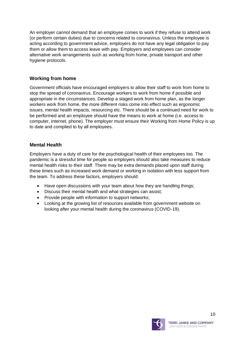An employer cannot demand that an employee comes to work if they refuse to attend work (or perform certain duties) due to concerns related to coronavirus. Unless the employee is acting according to government advice, employers do not have any legal obligation to pay them or allow them to access leave with pay. Employers and employees can consider alternative work arrangements such as working from home, private transport and other hygiene protocols.

#### **Working from home**

Government officials have encouraged employers to allow their staff to work from home to stop the spread of coronavirus. Encourage workers to work from home if possible and appropriate in the circumstances. Develop a staged work from home plan, as the longer workers work from home, the more different risks come into effect such as ergonomic issues, mental health impacts, resourcing etc. There should be a continued need for work to be performed and an employee should have the means to work at home (i.e. access to computer, internet, phone). The employer must ensure their Working from Home Policy is up to date and complied to by all employees.

#### **Mental Health**

Employers have a duty of care for the psychological health of their employees too. The pandemic is a stressful time for people so employers should also take measures to reduce mental health risks to their staff. There may be extra demands placed upon staff during these times such as increased work demand or working in isolation with less support from the team. To address these factors, employers should:

- Have open discussions with your team about how they are handling things;
- Discuss their mental health and what strategies can assist;
- Provide people with information to support networks;
- Looking at the growing list of resources available from government website on looking after your mental health during the coronavirus (COVID-19).

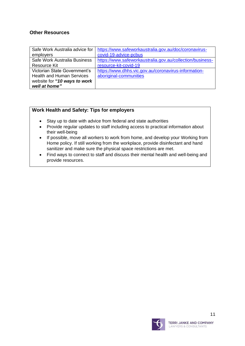#### **Other Resources**

| Safe Work Australia advice for   | https://www.safeworkaustralia.gov.au/doc/coronavirus-     |
|----------------------------------|-----------------------------------------------------------|
| employers                        | covid-19-advice-pcbus                                     |
| Safe Work Australia Business     | https://www.safeworkaustralia.gov.au/collection/business- |
| <b>Resource Kit</b>              | resource-kit-covid-19                                     |
| Victorian State Government's     | https://www.dhhs.vic.gov.au/coronavirus-information-      |
| <b>Health and Human Services</b> | aboriginal-communities                                    |
| website for "10 ways to work     |                                                           |
| well at home"                    |                                                           |

#### **Work Health and Safety: Tips for employers**

- Stay up to date with advice from federal and state authorities
- Provide regular updates to staff including access to practical information about their well-being
- If possible, move all workers to work from home, and develop your Working from Home policy. If still working from the workplace, provide disinfectant and hand sanitizer and make sure the physical space restrictions are met.
- Find ways to connect to staff and discuss their mental health and well-being and provide resources.

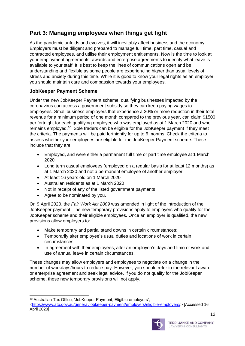# <span id="page-11-0"></span>**Part 3: Managing employees when things get tight**

As the pandemic unfolds and evolves, it will inevitably affect business and the economy. Employers must be diligent and prepared to manage full time, part time, casual and contracted employees, and utilise their employment entitlements. Now is the time to look at your employment agreements, awards and enterprise agreements to identify what leave is available to your staff. It is best to keep the lines of communications open and be understanding and flexible as some people are experiencing higher than usual levels of stress and anxiety during this time. While it is good to know your legal rights as an employer, you should maintain care and compassion towards your employees.

#### **JobKeeper Payment Scheme**

Under the new JobKeeper Payment scheme, qualifying businesses impacted by the coronavirus can access a government subsidy so they can keep paying wages to employees. Small business employers that experience a 30% or more reduction in their total revenue for a minimum period of one month compared to the previous year, can claim \$1500 per fortnight for each qualifying employee who was employed as at 1 March 2020 and who remains employed.<sup>10</sup> Sole traders can be eligible for the JobKeeper payment if they meet the criteria. The payments will be paid fortnightly for up to 6 months. Check the criteria to assess whether your employees are eligible for the JobKeeper Payment scheme. These include that they are:

- Employed, and were either a permanent full time or part time employee at 1 March 2020
- Long term casual employees (employed on a regular basis for at least 12 months) as at 1 March 2020 and not a permanent employee of another employer
- At least 16 years old on 1 March 2020
- Australian residents as at 1 March 2020
- Not in receipt of any of the listed government payments
- Agree to be nominated by you.

On 9 April 2020, the *Fair Work Act 2009* was amended in light of the introduction of the JobKeeper payment. The new temporary provisions apply to employers who qualify for the JobKeeper scheme and their eligible employees. Once an employer is qualified, the new provisions allow employers to:

- Make temporary and partial stand downs in certain circumstances;
- Temporarily alter employee's usual duties and locations of work in certain circumstances;
- In agreement with their employees, alter an employee's days and time of work and use of annual leave in certain circumstances.

These changes may allow employers and employees to negotiate on a change in the number of workdays/hours to reduce pay. However, you should refer to the relevant award or enterprise agreement and seek legal advice. If you do not qualify for the JobKeeper scheme, these new temporary provisions will not apply.

[<sup>&</sup>lt;https://www.ato.gov.au/general/jobkeeper-payment/employers/eligible-employers/>](https://www.ato.gov.au/general/jobkeeper-payment/employers/eligible-employers/) [Accessed 16 April 2020]



<sup>10</sup> Australian Tax Office, 'JobKeeper Payment, Eligible employers',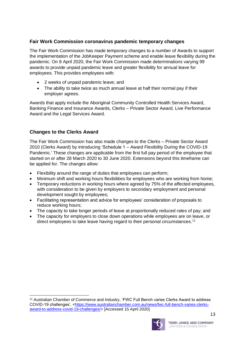#### **Fair Work Commission coronavirus pandemic temporary changes**

The Fair Work Commission has made temporary changes to a number of Awards to support the implementation of the JobKeeper Payment scheme and enable leave flexibility during the pandemic. On 8 April 2020, the Fair Work Commission made determinations varying 99 awards to provide unpaid pandemic leave and greater flexibility for annual leave for employees. This provides employees with:

- 2 weeks of unpaid pandemic leave; and
- The ability to take twice as much annual leave at half their normal pay if their employer agrees.

Awards that apply include the Aboriginal Community Controlled Health Services Award, Banking Finance and Insurance Awards, Clerks – Private Sector Award. Live Performance Award and the Legal Services Award.

#### **Changes to the Clerks Award**

The Fair Work Commission has also made changes to the Clerks – Private Sector Award 2010 (Clerks Award) by introducing 'Schedule 1 – Award Flexibility During the COVID-19 Pandemic.' These changes are applicable from the first full pay period of the employee that started on or after 28 March 2020 to 30 June 2020. Extensions beyond this timeframe can be applied for. The changes allow:

- Flexibility around the range of duties that employees can perform;
- Minimum shift and working hours flexibilities for employees who are working from home;
- Temporary reductions in working hours where agreed by 75% of the affected employees, with consideration to be given by employers to secondary employment and personal development sought by employees;
- Facilitating representation and advice for employees' consideration of proposals to reduce working hours;
- The capacity to take longer periods of leave at proportionally reduced rates of pay; and
- The capacity for employers to close down operations while employees are on leave, or direct employees to take leave having regard to their personal circumstances.<sup>11</sup>

<sup>11</sup> [Australian Chamber of Commerce and Industry, 'FWC Full Bench varies Clerks Award to address](https://www.australianchamber.com.au/news/fwc-full-bench-varies-clerks-award-to-address-covid-19-challenges/)  [COVID-19 challenges', <https://www.australianchamber.com.au/news/fwc-full-bench-varies-clerks](https://www.australianchamber.com.au/news/fwc-full-bench-varies-clerks-award-to-address-covid-19-challenges/)[award-to-address-covid-19-challenges/>](https://www.australianchamber.com.au/news/fwc-full-bench-varies-clerks-award-to-address-covid-19-challenges/) [Accessed 15 April 2020]

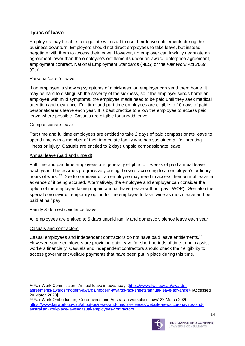#### **Types of leave**

Employers may be able to negotiate with staff to use their leave entitlements during the business downturn. Employers should not direct employees to take leave, but instead negotiate with them to access their leave. However, no employer can lawfully negotiate an agreement lower than the employee's entitlements under an award, enterprise agreement, employment contract, National Employment Standards (NES) or the *Fair Work Act 2009* (Cth).

#### Personal/carer's leave

If an employee is showing symptoms of a sickness, an employer can send them home. It may be hard to distinguish the severity of the sickness, so if the employer sends home an employee with mild symptoms, the employee made need to be paid until they seek medical attention and clearance. Full time and part time employees are eligible to 10 days of paid personal/carer's leave each year. It is best practice to allow the employee to access paid leave where possible. Casuals are eligible for unpaid leave.

#### Compassionate leave

Part time and fulltime employees are entitled to take 2 days of paid compassionate leave to spend time with a member of their immediate family who has sustained a life-threating illness or injury. Casuals are entitled to 2 days unpaid compassionate leave.

#### Annual leave (paid and unpaid)

Full time and part time employees are generally eligible to 4 weeks of paid annual leave each year. This accrues progressively during the year according to an employee's ordinary hours of work.<sup>12</sup> Due to coronavirus, an employee may need to access their annual leave in advance of it being accrued. Alternatively, the employee and employer can consider the option of the employee taking unpaid annual leave (leave without pay LWOP). See also the special coronavirus temporary option for the employee to take twice as much leave and be paid at half pay.

#### Family & domestic violence leave

All employees are entitled to 5 days unpaid family and domestic violence leave each year.

#### Casuals and contractors

Casual employees and independent contractors do not have paid leave entitlements.<sup>13</sup> However, some employers are providing paid leave for short periods of time to help assist workers financially. Casuals and independent contractors should check their eligibility to access government welfare payments that have been put in place during this time.

<sup>13</sup> Fair Work Ombudsman, 'Coronavirus and Australian workplace laws' 22 March 2020 [https://www.fairwork.gov.au/about-us/news-and-media-releases/website-news/coronavirus-and](https://www.fairwork.gov.au/about-us/news-and-media-releases/website-news/coronavirus-and-australian-workplace-laws#casual-employees-contractors)[australian-workplace-laws#casual-employees-contractors](https://www.fairwork.gov.au/about-us/news-and-media-releases/website-news/coronavirus-and-australian-workplace-laws#casual-employees-contractors)



<sup>12</sup> Fair Work Commission, 'Annual leave in advance', [<https://www.fwc.gov.au/awards](https://www.fwc.gov.au/awards-agreements/awards/modern-awards/modern-awards-fact-sheets/annual-leave-advance)[agreements/awards/modern-awards/modern-awards-fact-sheets/annual-leave-advance>](https://www.fwc.gov.au/awards-agreements/awards/modern-awards/modern-awards-fact-sheets/annual-leave-advance) [Accessed 20 March 2020]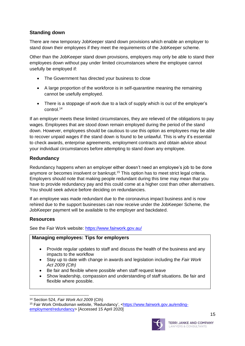#### **Standing down**

There are new temporary JobKeeper stand down provisions which enable an employer to stand down their employees if they meet the requirements of the JobKeeper scheme.

Other than the JobKeeper stand down provisions, employers may only be able to stand their employees down without pay under limited circumstances where the employee cannot usefully be employed if:

- The Government has directed your business to close
- A large proportion of the workforce is in self-quarantine meaning the remaining cannot be usefully employed.
- There is a stoppage of work due to a lack of supply which is out of the employer's control. 14

If an employer meets these limited circumstances, they are relieved of the obligations to pay wages. Employees that are stood down remain employed during the period of the stand down. However, employees should be cautious to use this option as employees may be able to recover unpaid wages if the stand down is found to be unlawful. This is why it's essential to check awards, enterprise agreements, employment contracts and obtain advice about your individual circumstances before attempting to stand down any employee.

#### **Redundancy**

Redundancy happens when an employer either doesn't need an employee's job to be done anymore or becomes insolvent or bankrupt.<sup>15</sup> This option has to meet strict legal criteria. Employers should note that making people redundant during this time may mean that you have to provide redundancy pay and this could come at a higher cost than other alternatives. You should seek advice before deciding on redundancies.

If an employee was made redundant due to the coronavirus impact business and is now rehired due to the support businesses can now receive under the JobKeeper Scheme, the JobKeeper payment will be available to the employer and backdated.

#### **Resources**

See the Fair Work website:<https://www.fairwork.gov.au/>

#### **Managing employees: Tips for employers**

- Provide regular updates to staff and discuss the health of the business and any impacts to the workflow
- Stay up to date with change in awards and legislation including the *Fair Work Act 2009 (Cth)*
- Be fair and flexible where possible when staff request leave
- Show leadership, compassion and understanding of staff situations. Be fair and flexible where possible.

<sup>15</sup> Fair Work Ombudsman website, 'Redundancy', [<https://www.fairwork.gov.au/ending](https://www.fairwork.gov.au/ending-employment/redundancy)[employment/redundancy>](https://www.fairwork.gov.au/ending-employment/redundancy) [Accessed 15 April 2020]



<sup>14</sup> Section 524, *Fair Work Act 2009* (Cth)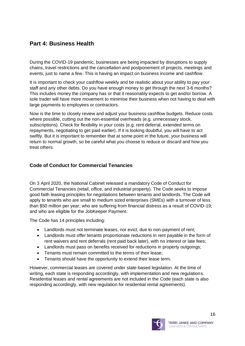## <span id="page-15-0"></span>**Part 4: Business Health**

During the COVID-19 pandemic, businesses are being impacted by disruptions to supply chains, travel restrictions and the cancellation and postponement of projects, meetings and events, just to name a few. This is having an impact on business income and cashflow.

It is important to check your cashflow weekly and be realistic about your ability to pay your staff and any other debts. Do you have enough money to get through the next 3-6 months? This includes money the company has or that it reasonably expects to get and/or borrow. A sole trader will have more movement to minimise their business when not having to deal with large payments to employees or contractors.

Now is the time to closely review and adjust your business cashflow budgets. Reduce costs where possible, cutting out the non-essential overheads (e.g. unnecessary stock, subscriptions). Check for flexibility in your costs (e.g. rent deferral, extended terms on repayments, negotiating to get paid earlier). If it is looking doubtful, you will have to act swiftly. But it is important to remember that at some point in the future, your business will return to normal growth, so be careful what you choose to reduce or discard and how you treat others.

#### **Code of Conduct for Commercial Tenancies**

On 3 April 2020, the National Cabinet released a mandatory Code of Conduct for Commercial Tenancies (retail, office, and industrial property). The Code seeks to impose good faith leasing principles for negotiations between tenants and landlords. The Code will apply to tenants who are small to medium sized enterprises (SMEs) with a turnover of less than \$50 million per year; who are suffering from financial distress as a result of COVID-19; and who are eligible for the JobKeeper Payment.

The Code has 14 principles including:

- Landlords must not terminate leases, nor evict, due to non-payment of rent;
- Landlords must offer tenants proportionate reductions in rent payable in the form of rent waivers and rent deferrals (rent paid back later), with no interest or late fees;
- Landlords must pass on benefits received for reductions in property outgoings;
- Tenants must remain committed to the terms of their lease;
- Tenants should have the opportunity to extend their lease term.

However, commercial leases are covered under state-based legislation. At the time of writing, each state is responding accordingly, with implementation and new regulations. Residential leases and rental agreements are not included in the Code (each state is also responding accordingly, with new regulation for residential rental agreements).

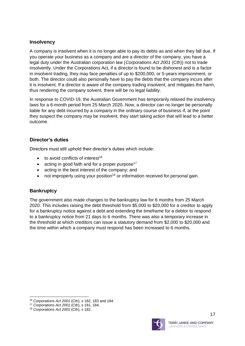#### **Insolvency**

A company is insolvent when it is no longer able to pay its debts as and when they fall due. If you operate your business as a company and are a director of the company, you have a legal duty under the Australian corporation law (*Corporations Act 2001* (Cth)) not to trade insolvently. Under the Corporations Act, if a director is found to be dishonest and is a factor in insolvent trading, they may face penalties of up to \$200,000, or 5-years imprisonment, or both. The director could also personally have to pay the debts that the company incurs after it is insolvent. If a director is aware of the company trading insolvent, and mitigates the harm, thus rendering the company solvent, there will be no legal liability.

In response to COVID-19, the Australian Government has temporarily relaxed the insolvency laws for a 6-month period from 25 March 2020. Now, a director can no longer be personally liable for any debt incurred by a company in the ordinary course of business if, at the point they suspect the company may be insolvent, they start taking action that will lead to a better outcome.

#### **Director's duties**

Directors must still uphold their director's duties which include:

- $\bullet$  to avoid conflicts of interest<sup>16</sup>
- $\bullet$  acting in good faith and for a proper purpose<sup>17</sup>
- acting in the best interest of the company; and
- not improperly using your position<sup>18</sup> or information received for personal gain.

#### **Bankruptcy**

The government also made changes to the bankruptcy law for 6 months from 25 March 2020. This includes raising the debt threshold from \$5,000 to \$20,000 for a creditor to apply for a bankruptcy notice against a debt and extending the timeframe for a debtor to respond to a bankruptcy notice from 21 days to 6 months. There was also a temporary increase in the threshold at which creditors can issue a statutory demand from \$2,000 to \$20,000 and the time within which a company must respond has been increased to 6 months.



<sup>16</sup> *Corporations Act 2001* (Cth), s 182, 183 and 184.

<sup>17</sup> *Corporations Act 2001* (Cth), s 181, 184.

<sup>18</sup> *Corporations Act 2001* (Cth), s 182.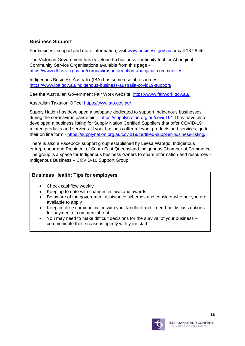#### **Business Support**

For business support and more information, visit [www.business.gov.au](http://www.business.gov.au/) or call 13 28 46.

The Victorian Government has developed a business continuity tool for Aboriginal Community Service Organisations available from this page [https://www.dhhs.vic.gov.au/coronavirus-information-aboriginal-communities.](https://www.dhhs.vic.gov.au/coronavirus-information-aboriginal-communities)

Indigenous Business Australia (IBA) has some useful resources: <https://www.iba.gov.au/indigenous-business-australia-covid19-support/>

See the Australian Government Fair Work website:<https://www.fairwork.gov.au/>

Australian Taxation Office: <https://www.ato.gov.au/>

Supply Nation has developed a webpage dedicated to support Indigenous businesses during the coronavirus pandemic. - <https://supplynation.org.au/covid19/> They have also developed a business listing for Supply Nation Certified Suppliers that offer COVID-19 related products and services. If your business offer relevant products and services, go to their on line form - [https://supplynation.org.au/covid19/certified-supplier-business-listing/.](https://supplynation.org.au/covid19/certified-supplier-business-listing/)

There is also a Facebook support group established by Leesa Watego, Indigenous entrepreneur and President of South East Queensland Indigenous Chamber of Commerce. The group is a space for Indigenous business owners to share information and resources – Indigenous Business – COVID-10 Support Group.

#### **Business Health: Tips for employers**

- Check cashflow weekly
- Keep up to date with changes in laws and awards
- Be aware of the government assistance schemes and consider whether you are available to apply
- Keep in close communication with your landlord and if need be discuss options for payment of commercial rent
- You may need to make difficult decisions for the survival of your business communicate these reasons openly with your staff

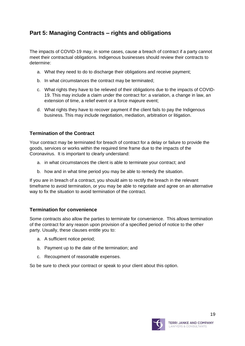# <span id="page-18-0"></span>**Part 5: Managing Contracts – rights and obligations**

The impacts of COVID-19 may, in some cases, cause a breach of contract if a party cannot meet their contractual obligations. Indigenous businesses should review their contracts to determine:

- a. What they need to do to discharge their obligations and receive payment;
- b. In what circumstances the contract may be terminated;
- c. What rights they have to be relieved of their obligations due to the impacts of COVID-19. This may include a claim under the contract for: a variation, a change in law, an extension of time, a relief event or a force majeure event;
- d. What rights they have to recover payment if the client fails to pay the Indigenous business. This may include negotiation, mediation, arbitration or litigation.

#### **Termination of the Contract**

Your contract may be terminated for breach of contract for a delay or failure to provide the goods, services or works within the required time frame due to the impacts of the Coronavirus. It is important to clearly understand:

- a. in what circumstances the client is able to terminate your contract; and
- b. how and in what time period you may be able to remedy the situation.

If you are in breach of a contract, you should aim to rectify the breach in the relevant timeframe to avoid termination, or you may be able to negotiate and agree on an alternative way to fix the situation to avoid termination of the contract.

#### **Termination for convenience**

Some contracts also allow the parties to terminate for convenience. This allows termination of the contract for any reason upon provision of a specified period of notice to the other party. Usually, these clauses entitle you to:

- a. A sufficient notice period;
- b. Payment up to the date of the termination; and
- c. Recoupment of reasonable expenses.

So be sure to check your contract or speak to your client about this option.

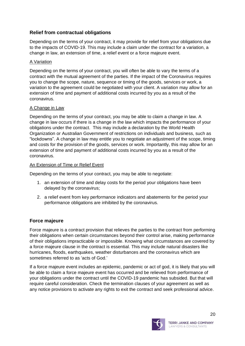#### **Relief from contractual obligations**

Depending on the terms of your contract, it may provide for relief from your obligations due to the impacts of COVID-19. This may include a claim under the contract for a variation, a change in law, an extension of time, a relief event or a force majeure event.

#### A Variation

Depending on the terms of your contract, you will often be able to vary the terms of a contract with the mutual agreement of the parties. If the impact of the Coronavirus requires you to change the scope, nature, sequence or timing of the goods, services or work, a variation to the agreement could be negotiated with your client. A variation may allow for an extension of time and payment of additional costs incurred by you as a result of the coronavirus.

#### A Change in Law

Depending on the terms of your contract, you may be able to claim a change in law. A change in law occurs if there is a change in the law which impacts the performance of your obligations under the contract. This may include a declaration by the World Health Organization or Australian Government of restrictions on individuals and business, such as "lockdowns". A change in law may entitle you to negotiate an adjustment of the scope, timing and costs for the provision of the goods, services or work. Importantly, this may allow for an extension of time and payment of additional costs incurred by you as a result of the coronavirus.

#### An Extension of Time or Relief Event

Depending on the terms of your contract, you may be able to negotiate:

- 1. an extension of time and delay costs for the period your obligations have been delayed by the coronavirus;
- 2. a relief event from key performance indicators and abatements for the period your performance obligations are inhibited by the coronavirus.

#### **Force majeure**

Force majeure is a contract provision that relieves the parties to the contract from performing their obligations when certain circumstances beyond their control arise, making performance of their obligations impracticable or impossible. Knowing what circumstances are covered by a force majeure clause in the contract is essential. This may include natural disasters like hurricanes, floods, earthquakes, weather disturbances and the coronavirus which are sometimes referred to as 'acts of God.'

If a force majeure event includes an epidemic, pandemic or act of god, it is likely that you will be able to claim a force majeure event has occurred and be relieved from performance of your obligations under the contract until the COVID-19 pandemic has subsided. But that will require careful consideration. Check the termination clauses of your agreement as well as any notice provisions to activate any rights to exit the contract and seek professional advice.

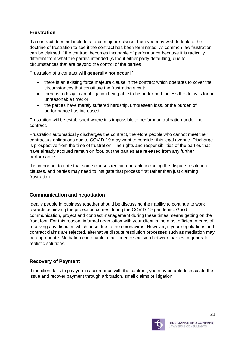#### **Frustration**

If a contract does not include a force majeure clause, then you may wish to look to the doctrine of frustration to see if the contract has been terminated. At common law frustration can be claimed if the contract becomes incapable of performance because it is radically different from what the parties intended (without either party defaulting) due to circumstances that are beyond the control of the parties.

Frustration of a contract **will generally not occur** if:

- there is an existing force majeure clause in the contract which operates to cover the circumstances that constitute the frustrating event;
- there is a delay in an obligation being able to be performed, unless the delay is for an unreasonable time; or
- the parties have merely suffered hardship, unforeseen loss, or the burden of performance has increased.

Frustration will be established where it is impossible to perform an obligation under the contract.

Frustration automatically discharges the contract, therefore people who cannot meet their contractual obligations due to COVID-19 may want to consider this legal avenue. Discharge is prospective from the time of frustration. The rights and responsibilities of the parties that have already accrued remain on foot, but the parties are released from any further performance.

It is important to note that some clauses remain operable including the dispute resolution clauses, and parties may need to instigate that process first rather than just claiming frustration.

#### **Communication and negotiation**

Ideally people in business together should be discussing their ability to continue to work towards achieving the project outcomes during the COVID-19 pandemic. Good communication, project and contract management during these times means getting on the front foot. For this reason, informal negotiation with your client is the most efficient means of resolving any disputes which arise due to the coronavirus. However, if your negotiations and contract claims are rejected, alternative dispute resolution processes such as mediation may be appropriate. Mediation can enable a facilitated discussion between parties to generate realistic solutions.

#### **Recovery of Payment**

If the client fails to pay you in accordance with the contract, you may be able to escalate the issue and recover payment through arbitration, small claims or litigation.

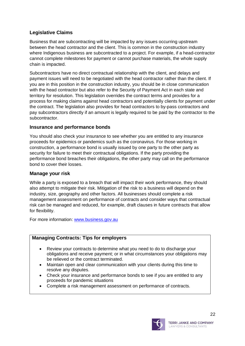#### **Legislative Claims**

Business that are subcontracting will be impacted by any issues occurring upstream between the head contractor and the client. This is common in the construction industry where Indigenous business are subcontracted to a project. For example, if a head-contractor cannot complete milestones for payment or cannot purchase materials, the whole supply chain is impacted.

Subcontractors have no direct contractual relationship with the client, and delays and payment issues will need to be negotiated with the head contractor rather than the client. If you are in this position in the construction industry, you should be in close communication with the head contractor but also refer to the Security of Payment Act in each state and territory for resolution. This legislation overrides the contract terms and provides for a process for making claims against head contractors and potentially clients for payment under the contract. The legislation also provides for head contractors to by-pass contractors and pay subcontractors directly if an amount is legally required to be paid by the contractor to the subcontractor.

#### **Insurance and performance bonds**

You should also check your insurance to see whether you are entitled to any insurance proceeds for epidemics or pandemics such as the coronavirus. For those working in construction, a performance bond is usually issued by one party to the other party as security for failure to meet their contractual obligations. If the party providing the performance bond breaches their obligations, the other party may call on the performance bond to cover their losses.

#### **Manage your risk**

While a party is exposed to a breach that will impact their work performance, they should also attempt to mitigate their risk. Mitigation of the risk to a business will depend on the industry, size, geography and other factors. All businesses should complete a risk management assessment on performance of contracts and consider ways that contractual risk can be managed and reduced, for example, draft clauses in future contracts that allow for flexibility.

For more information: [www.business.gov.au](http://www.business.gov.au/)

#### **Managing Contracts: Tips for employers**

- Review your contracts to determine what you need to do to discharge your obligations and receive payment; or in what circumstances your obligations may be relieved or the contract terminated.
- Maintain open and clear communication with your clients during this time to resolve any disputes.
- Check your insurance and performance bonds to see if you are entitled to any proceeds for pandemic situations
- Complete a risk management assessment on performance of contracts.

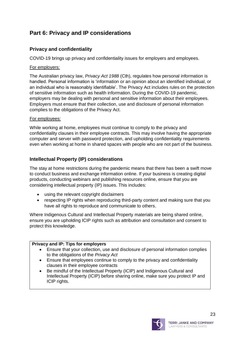# <span id="page-22-0"></span>**Part 6: Privacy and IP considerations**

#### **Privacy and confidentiality**

COVID-19 brings up privacy and confidentiality issues for employers and employees.

#### For employers:

The Australian privacy law, *Privacy Act 1988* (Cth), regulates how personal information is handled. Personal information is 'information or an opinion about an identified individual, or an individual who is reasonably identifiable'. The Privacy Act includes rules on the protection of sensitive information such as health information. During the COVID-19 pandemic, employers may be dealing with personal and sensitive information about their employees. Employers must ensure that their collection, use and disclosure of personal information complies to the obligations of the Privacy Act.

#### For employees:

While working at home, employees must continue to comply to the privacy and confidentiality clauses in their employee contracts. This may involve having the appropriate computer and server with password protection, and upholding confidentiality requirements even when working at home in shared spaces with people who are not part of the business.

#### **Intellectual Property (IP) considerations**

The stay at home restrictions during the pandemic means that there has been a swift move to conduct business and exchange information online. If your business is creating digital products, conducting webinars and publishing resources online, ensure that you are considering intellectual property (IP) issues. This includes:

- using the relevant copyright disclaimers
- respecting IP rights when reproducing third-party content and making sure that you have all rights to reproduce and communicate to others.

Where Indigenous Cultural and Intellectual Property materials are being shared online, ensure you are upholding ICIP rights such as attribution and consultation and consent to protect this knowledge.

#### **Privacy and IP: Tips for employers**

- Ensure that your collection, use and disclosure of personal information complies to the obligations of the *Privacy Act*
- Ensure that employees continue to comply to the privacy and confidentiality clauses in their employee contracts
- Be mindful of the Intellectual Property (ICIP) and Indigenous Cultural and Intellectual Property (ICIP) before sharing online, make sure you protect IP and ICIP rights.

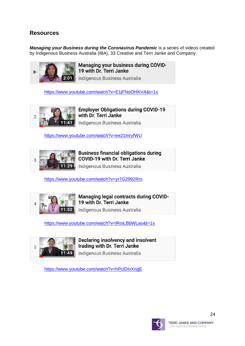# <span id="page-23-0"></span>**Resources**

*Managing your Business during the Coronavirus Pandemic* is a series of videos created by Indigenous Business Australia (IBA), 33 Creative and Terri Janke and Company.



**Managing your business during COVID-**19 with Dr. Terri Janke

Indigenous Business Australia

<https://www.youtube.com/watch?v=E1jFNoOHKVA&t=1s>



**Employer Obligations during COVID-19** with Dr. Terri Janke Indigenous Business Australia

<https://www.youtube.com/watch?v=ee21InryfWU>



**Business financial obligations during** COVID-19 with Dr. Terri Janke

Indigenous Business Australia

<https://www.youtube.com/watch?v=yr7G2992Rrs>



Managing legal contracts during COVID-19 with Dr. Terri Janke Indigenous Business Australia

<https://www.youtube.com/watch?v=lRoiLBbWLao&t=1s>



Declaring insolvency and insolvent trading with Dr. Terri Janke

Indigenous Business Australia

<https://www.youtube.com/watch?v=hPclDIvXngE>